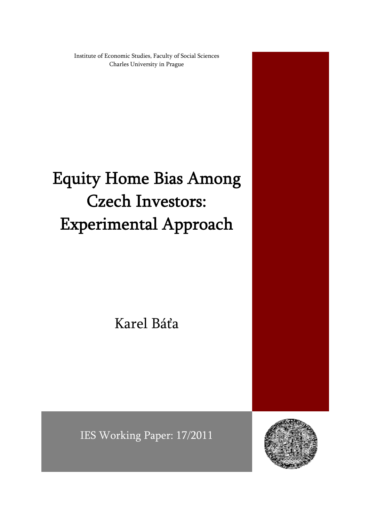Institute of Economic Studies, Faculty of Social Sciences Charles University in Prague

# Equity Home Bias Among Czech Investors: Experimental Approach

Karel Báťa

IES Working Paper: 17/2011

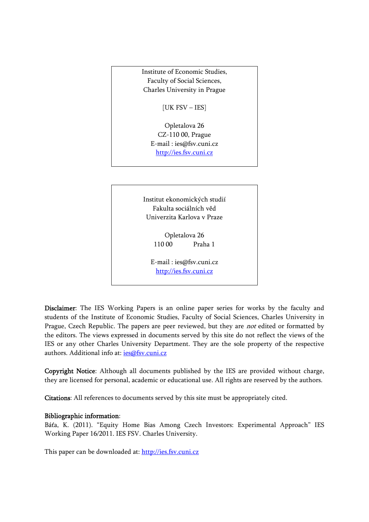Institute of Economic Studies, Faculty of Social Sciences, Charles University in Prague

[UK FSV – IES]

Opletalova 26 CZ-110 00, Prague E-mail : ies@fsv.cuni.cz http://ies.fsv.cuni.cz

Institut ekonomických studií Fakulta sociálních věd Univerzita Karlova v Praze

> Opletalova 26 110 00 Praha 1

E-mail : ies@fsv.cuni.cz http://ies.fsv.cuni.cz

Disclaimer: The IES Working Papers is an online paper series for works by the faculty and students of the Institute of Economic Studies, Faculty of Social Sciences, Charles University in Prague, Czech Republic. The papers are peer reviewed, but they are *not* edited or formatted by the editors. The views expressed in documents served by this site do not reflect the views of the IES or any other Charles University Department. They are the sole property of the respective authors. Additional info at: ies@fsv.cuni.cz

Copyright Notice: Although all documents published by the IES are provided without charge, they are licensed for personal, academic or educational use. All rights are reserved by the authors.

Citations: All references to documents served by this site must be appropriately cited.

#### Bibliographic information:

Báťa, K. (2011). "Equity Home Bias Among Czech Investors: Experimental Approach" IES Working Paper 16/2011. IES FSV. Charles University.

This paper can be downloaded at: http://ies.fsv.cuni.cz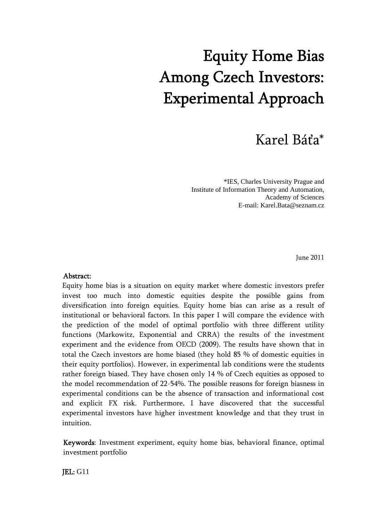# Equity Home Bias Among Czech Investors: Experimental Approach

## Karel Báťa\*

 \*IES, Charles University Prague and Institute of Information Theory and Automation, Academy of Sciences E-mail: Karel.Bata@seznam.cz

June 2011

#### Abstract:

Equity home bias is a situation on equity market where domestic investors prefer invest too much into domestic equities despite the possible gains from diversification into foreign equities. Equity home bias can arise as a result of institutional or behavioral factors. In this paper I will compare the evidence with the prediction of the model of optimal portfolio with three different utility functions (Markowitz, Exponential and CRRA) the results of the investment experiment and the evidence from OECD (2009). The results have shown that in total the Czech investors are home biased (they hold 85 % of domestic equities in their equity portfolios). However, in experimental lab conditions were the students rather foreign biased. They have chosen only 14 % of Czech equities as opposed to the model recommendation of 22-54%. The possible reasons for foreign biasness in experimental conditions can be the absence of transaction and informational cost and explicit FX risk. Furthermore, I have discovered that the successful experimental investors have higher investment knowledge and that they trust in intuition.

Keywords: Investment experiment, equity home bias, behavioral finance, optimal investment portfolio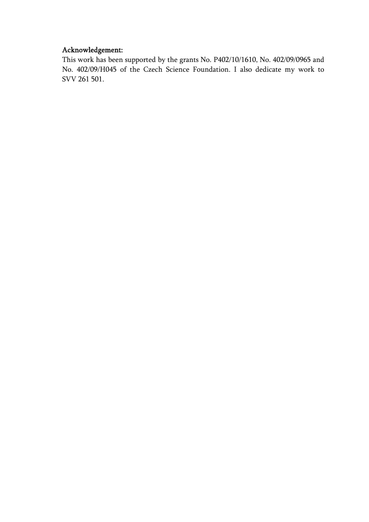## Acknowledgement:

This work has been supported by the grants No. P402/10/1610, No. 402/09/0965 and No. 402/09/H045 of the Czech Science Foundation. I also dedicate my work to SVV 261 501.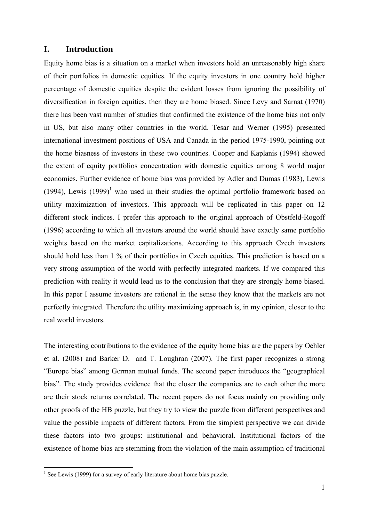#### **I. Introduction**

Equity home bias is a situation on a market when investors hold an unreasonably high share of their portfolios in domestic equities. If the equity investors in one country hold higher percentage of domestic equities despite the evident losses from ignoring the possibility of diversification in foreign equities, then they are home biased. Since Levy and Sarnat (1970) there has been vast number of studies that confirmed the existence of the home bias not only in US, but also many other countries in the world. Tesar and Werner (1995) presented international investment positions of USA and Canada in the period 1975-1990, pointing out the home biasness of investors in these two countries. Cooper and Kaplanis (1994) showed the extent of equity portfolios concentration with domestic equities among 8 world major economies. Further evidence of home bias was provided by Adler and Dumas (1983), Lewis (1994), Lewis  $(1999)^1$  who used in their studies the optimal portfolio framework based on utility maximization of investors. This approach will be replicated in this paper on 12 different stock indices. I prefer this approach to the original approach of Obstfeld-Rogoff (1996) according to which all investors around the world should have exactly same portfolio weights based on the market capitalizations. According to this approach Czech investors should hold less than 1 % of their portfolios in Czech equities. This prediction is based on a very strong assumption of the world with perfectly integrated markets. If we compared this prediction with reality it would lead us to the conclusion that they are strongly home biased. In this paper I assume investors are rational in the sense they know that the markets are not perfectly integrated. Therefore the utility maximizing approach is, in my opinion, closer to the real world investors.

The interesting contributions to the evidence of the equity home bias are the papers by Oehler et al. (2008) and Barker D. and T. Loughran (2007). The first paper recognizes a strong "Europe bias" among German mutual funds. The second paper introduces the "geographical bias". The study provides evidence that the closer the companies are to each other the more are their stock returns correlated. The recent papers do not focus mainly on providing only other proofs of the HB puzzle, but they try to view the puzzle from different perspectives and value the possible impacts of different factors. From the simplest perspective we can divide these factors into two groups: institutional and behavioral. Institutional factors of the existence of home bias are stemming from the violation of the main assumption of traditional

 1 See Lewis (1999) for a survey of early literature about home bias puzzle.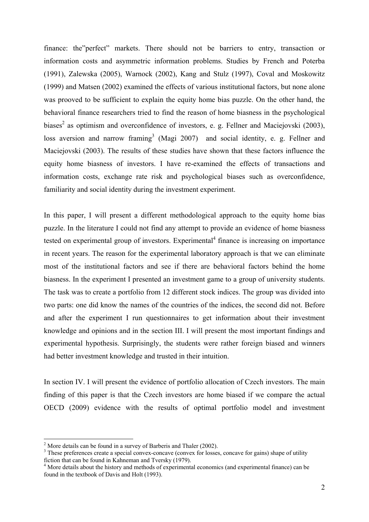finance: the"perfect" markets. There should not be barriers to entry, transaction or information costs and asymmetric information problems. Studies by French and Poterba (1991), Zalewska (2005), Warnock (2002), Kang and Stulz (1997), Coval and Moskowitz (1999) and Matsen (2002) examined the effects of various institutional factors, but none alone was prooved to be sufficient to explain the equity home bias puzzle. On the other hand, the behavioral finance researchers tried to find the reason of home biasness in the psychological biases<sup>2</sup> as optimism and overconfidence of investors, e. g. Fellner and Maciejovski (2003), loss aversion and narrow framing<sup>3</sup> (Magi 2007) and social identity, e. g. Fellner and Maciejovski (2003). The results of these studies have shown that these factors influence the equity home biasness of investors. I have re-examined the effects of transactions and information costs, exchange rate risk and psychological biases such as overconfidence, familiarity and social identity during the investment experiment.

In this paper, I will present a different methodological approach to the equity home bias puzzle. In the literature I could not find any attempt to provide an evidence of home biasness tested on experimental group of investors. Experimental $4$  finance is increasing on importance in recent years. The reason for the experimental laboratory approach is that we can eliminate most of the institutional factors and see if there are behavioral factors behind the home biasness. In the experiment I presented an investment game to a group of university students. The task was to create a portfolio from 12 different stock indices. The group was divided into two parts: one did know the names of the countries of the indices, the second did not. Before and after the experiment I run questionnaires to get information about their investment knowledge and opinions and in the section III. I will present the most important findings and experimental hypothesis. Surprisingly, the students were rather foreign biased and winners had better investment knowledge and trusted in their intuition.

In section IV. I will present the evidence of portfolio allocation of Czech investors. The main finding of this paper is that the Czech investors are home biased if we compare the actual OECD (2009) evidence with the results of optimal portfolio model and investment

 $^{2}$  More details can be found in a survey of Barberis and Thaler (2002).

<sup>&</sup>lt;sup>3</sup> These preferences create a special convex-concave (convex for losses, concave for gains) shape of utility fiction that can be found in Kahneman and Tversky (1979).

<sup>&</sup>lt;sup>4</sup> More details about the history and methods of experimental economics (and experimental finance) can be found in the textbook of Davis and Holt (1993).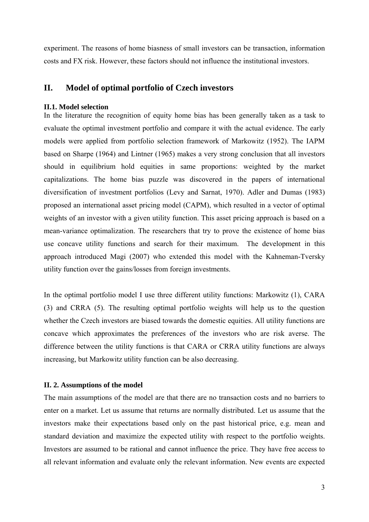experiment. The reasons of home biasness of small investors can be transaction, information costs and FX risk. However, these factors should not influence the institutional investors.

#### **II. Model of optimal portfolio of Czech investors**

#### **II.1. Model selection**

In the literature the recognition of equity home bias has been generally taken as a task to evaluate the optimal investment portfolio and compare it with the actual evidence. The early models were applied from portfolio selection framework of Markowitz (1952). The IAPM based on Sharpe (1964) and Lintner (1965) makes a very strong conclusion that all investors should in equilibrium hold equities in same proportions: weighted by the market capitalizations. The home bias puzzle was discovered in the papers of international diversification of investment portfolios (Levy and Sarnat, 1970). Adler and Dumas (1983) proposed an international asset pricing model (CAPM), which resulted in a vector of optimal weights of an investor with a given utility function. This asset pricing approach is based on a mean-variance optimalization. The researchers that try to prove the existence of home bias use concave utility functions and search for their maximum. The development in this approach introduced Magi (2007) who extended this model with the Kahneman-Tversky utility function over the gains/losses from foreign investments.

In the optimal portfolio model I use three different utility functions: Markowitz (1), CARA (3) and CRRA (5). The resulting optimal portfolio weights will help us to the question whether the Czech investors are biased towards the domestic equities. All utility functions are concave which approximates the preferences of the investors who are risk averse. The difference between the utility functions is that CARA or CRRA utility functions are always increasing, but Markowitz utility function can be also decreasing.

#### **II. 2. Assumptions of the model**

The main assumptions of the model are that there are no transaction costs and no barriers to enter on a market. Let us assume that returns are normally distributed. Let us assume that the investors make their expectations based only on the past historical price, e.g. mean and standard deviation and maximize the expected utility with respect to the portfolio weights. Investors are assumed to be rational and cannot influence the price. They have free access to all relevant information and evaluate only the relevant information. New events are expected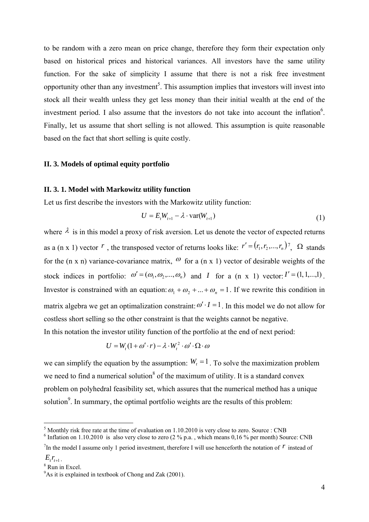to be random with a zero mean on price change, therefore they form their expectation only based on historical prices and historical variances. All investors have the same utility function. For the sake of simplicity I assume that there is not a risk free investment opportunity other than any investment<sup>5</sup>. This assumption implies that investors will invest into stock all their wealth unless they get less money than their initial wealth at the end of the investment period. I also assume that the investors do not take into account the inflation $6$ . Finally, let us assume that short selling is not allowed. This assumption is quite reasonable based on the fact that short selling is quite costly.

#### **II. 3. Models of optimal equity portfolio**

#### **II. 3. 1. Model with Markowitz utility function**

Let us first describe the investors with the Markowitz utility function:

$$
U = E_t W_{t+1} - \lambda \cdot \text{var}(W_{t+1})
$$
\n<sup>(1)</sup>

where  $\lambda$  is in this model a proxy of risk aversion. Let us denote the vector of expected returns as a (n x 1) vector  $r$ , the transposed vector of returns looks like:  $r' = (r_1, r_2, ..., r_n)$ ,  $\Omega$  stands for the (n x n) variance-covariance matrix,  $\omega$  for a (n x 1) vector of desirable weights of the stock indices in portfolio:  $\omega' = (\omega_1, \omega_2, ..., \omega_n)$  and *I* for a (n x 1) vector:  $I' = (1, 1, ..., 1)$ . Investor is constrained with an equation:  $\omega_1 + \omega_2 + ... + \omega_n = 1$ . If we rewrite this condition in matrix algebra we get an optimalization constraint:  $\omega' \cdot I = 1$ . In this model we do not allow for costless short selling so the other constraint is that the weights cannot be negative. In this notation the investor utility function of the portfolio at the end of next period:

$$
U = W_{t}(1 + \omega' \cdot r) - \lambda \cdot W_{t}^{2} \cdot \omega' \cdot \Omega \cdot \omega
$$

we can simplify the equation by the assumption:  $W_t = 1$ . To solve the maximization problem we need to find a numerical solution<sup>8</sup> of the maximum of utility. It is a standard convex problem on polyhedral feasibility set, which assures that the numerical method has a unique solution $9$ . In summary, the optimal portfolio weights are the results of this problem:

<sup>&</sup>lt;sup>5</sup> Monthly risk free rate at the time of evaluation on 1.10.2010 is very close to zero. Source : CNB  $^{6}$  Inflation on 1.10.2010 is also very close to zero.  $(2.9/12.6 \times 10^{-6} \text{ J/kg})$  per month) Source  $(2.9/12.6 \times 10^{-6}$ 

 $<sup>6</sup>$  Inflation on 1.10.2010 is also very close to zero (2 % p.a., which means 0,16 % per month) Source: CNB</sup>

<sup>&</sup>lt;sup>7</sup>In the model I assume only 1 period investment, therefore I will use henceforth the notation of  *instead of*  $E_{t}$  $r_{t+1}$ .

<sup>&</sup>lt;sup>8</sup> Run in Excel.

<sup>&</sup>lt;sup>9</sup>As it is explained in textbook of Chong and Zak (2001).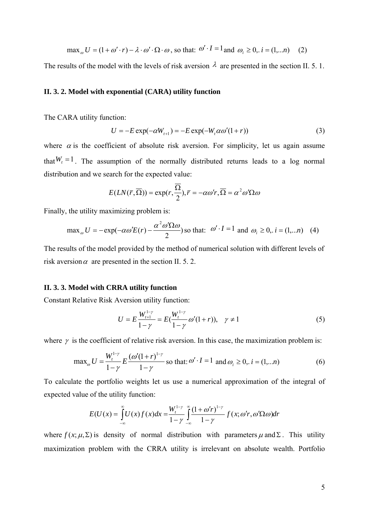$\max_{\alpha} U = (1 + \omega' \cdot r) - \lambda \cdot \omega' \cdot \Omega \cdot \omega$ , so that:  $\omega' \cdot I = 1$  and  $\omega_i \ge 0$ ,  $i = (1,...n)$  (2)

The results of the model with the levels of risk aversion  $\lambda$  are presented in the section II. 5. 1.

#### **II. 3. 2. Model with exponential (CARA) utility function**

The CARA utility function:

$$
U = -E \exp(-\alpha W_{t+1}) = -E \exp(-W_t \alpha \omega'(1+r))
$$
\n(3)

where  $\alpha$  is the coefficient of absolute risk aversion. For simplicity, let us again assume that  $W_t = 1$ . The assumption of the normally distributed returns leads to a log normal distribution and we search for the expected value:

$$
E(LN(\overline{r}, \overline{\Omega})) = \exp(r, \frac{\overline{\Omega}}{2}), \overline{r} = -\alpha \omega' r, \overline{\Omega} = \alpha^2 \omega' \Omega \omega
$$

Finally, the utility maximizing problem is:

$$
\max_{\omega} U = -\exp(-\alpha \omega' E(r) - \frac{\alpha^2 \omega' \Omega \omega}{2})
$$
 so that:  $\omega' \cdot I = 1$  and  $\omega_i \ge 0$ ,  $i = (1,...n)$  (4)

The results of the model provided by the method of numerical solution with different levels of risk aversion  $\alpha$  are presented in the section II. 5. 2.

#### **II. 3. 3. Model with CRRA utility function**

Constant Relative Risk Aversion utility function:

$$
U = E \frac{W_{t+1}^{1-\gamma}}{1-\gamma} = E(\frac{W_t^{1-\gamma}}{1-\gamma} \omega'(1+r)), \quad \gamma \neq 1
$$
 (5)

where  $\gamma$  is the coefficient of relative risk aversion. In this case, the maximization problem is:

$$
\max_{\omega} U = \frac{W_t^{1-\gamma}}{1-\gamma} E \frac{(\omega'(1+r)^{1-\gamma}}{1-\gamma} \text{ so that: } \omega' \cdot I = 1 \text{ and } \omega_i \ge 0, i = (1,...n)
$$
 (6)

To calculate the portfolio weights let us use a numerical approximation of the integral of expected value of the utility function:

$$
E(U(x)) = \int_{-\infty}^{\infty} U(x)f(x)dx = \frac{W_t^{1-\gamma}}{1-\gamma} \int_{-\infty}^{\infty} \frac{(1+\omega'r)^{1-\gamma}}{1-\gamma} f(x;\omega'r,\omega'\Omega\omega)dr
$$

where  $f(x; \mu, \Sigma)$  is density of normal distribution with parameters  $\mu$  and  $\Sigma$ . This utility maximization problem with the CRRA utility is irrelevant on absolute wealth. Portfolio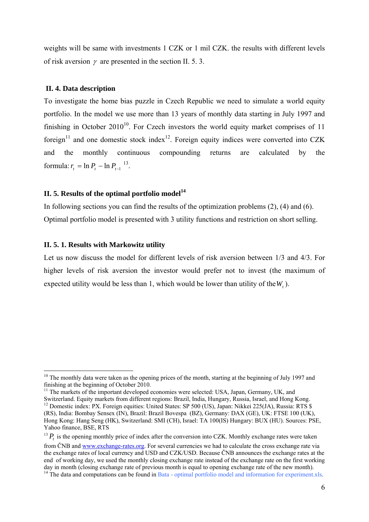weights will be same with investments 1 CZK or 1 mil CZK. the results with different levels of risk aversion  $\gamma$  are presented in the section II. 5. 3.

#### **II. 4. Data description**

To investigate the home bias puzzle in Czech Republic we need to simulate a world equity portfolio. In the model we use more than 13 years of monthly data starting in July 1997 and finishing in October  $2010^{10}$ . For Czech investors the world equity market comprises of 11 foreign<sup>11</sup> and one domestic stock index<sup>12</sup>. Foreign equity indices were converted into CZK and the monthly continuous compounding returns are calculated by the formula:  $r_t = \ln P_t - \ln P_{t-1}^{13}$ .

### **II. 5. Results of the optimal portfolio model**<sup>14</sup>

In following sections you can find the results of the optimization problems (2), (4) and (6). Optimal portfolio model is presented with 3 utility functions and restriction on short selling.

#### **II. 5. 1. Results with Markowitz utility**

1

Let us now discuss the model for different levels of risk aversion between 1/3 and 4/3. For higher levels of risk aversion the investor would prefer not to invest (the maximum of expected utility would be less than 1, which would be lower than utility of the  $W_t$ ).

<sup>&</sup>lt;sup>10</sup> The monthly data were taken as the opening prices of the month, starting at the beginning of July 1997 and finishing at the beginning of October 2010.

<sup>&</sup>lt;sup>11</sup> The markets of the important developed economies were selected: USA, Japan, Germany, UK, and Switzerland. Equity markets from different regions: Brazil, India, Hungary, Russia, Israel, and Hong Kong. Switzerland. Equity markets from different regions: Brazil, India, India, India, Israel, and Hong Kong. 12 Domestic index: PX. Foreign equities: United States: SP 500 (US), Japan: Nikkei 225(JA), Russia: RTS \$ (RS), India: Bombay Sensex (IN), Brazil: Brazil Bovespa (BZ), Germany: DAX (GE), UK: FTSE 100 (UK), Hong Kong: Hang Seng (HK), Switzerland: SMI (CH), Israel: TA 100(IS) Hungary: BUX (HU). Sources: PSE, Yahoo finance, BSE, RTS

 $13$  *P*, is the opening monthly price of index after the conversion into CZK. Monthly exchange rates were taken

from ČNB and www.exchange-rates.org. For several currencies we had to calculate the cross exchange rate via the exchange rates of local currency and USD and CZK/USD. Because ČNB announces the exchange rates at the end of working day, we used the monthly closing exchange rate instead of the exchange rate on the first working day in month (closing exchange rate of previous month is equal to opening exchange rate of the new month).

<sup>&</sup>lt;sup>14</sup> The data and computations can be found in Bata - optimal portfolio model and information for experiment.xls.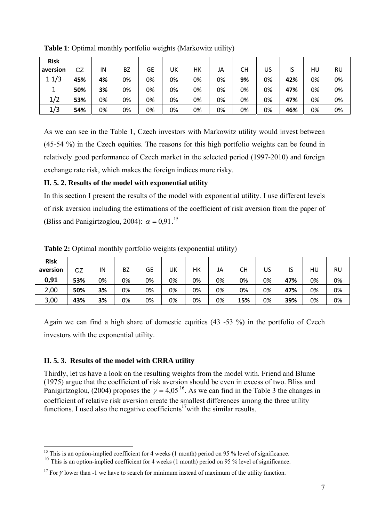| <b>Risk</b> |     |    |           |           |    |    |    |    |    |     |    |    |
|-------------|-----|----|-----------|-----------|----|----|----|----|----|-----|----|----|
| aversion    | CZ  | IN | <b>BZ</b> | <b>GE</b> | UK | НΚ | JA | СH | US | ١S  | HU | RU |
| 11/3        | 45% | 4% | 0%        | 0%        | 0% | 0% | 0% | 9% | 0% | 42% | 0% | 0% |
| J.          | 50% | 3% | 0%        | 0%        | 0% | 0% | 0% | 0% | 0% | 47% | 0% | 0% |
| 1/2         | 53% | 0% | 0%        | 0%        | 0% | 0% | 0% | 0% | 0% | 47% | 0% | 0% |
| 1/3         | 54% | 0% | 0%        | 0%        | 0% | 0% | 0% | 0% | 0% | 46% | 0% | 0% |

**Table 1**: Optimal monthly portfolio weights (Markowitz utility)

As we can see in the Table 1, Czech investors with Markowitz utility would invest between (45-54 %) in the Czech equities. The reasons for this high portfolio weights can be found in relatively good performance of Czech market in the selected period (1997-2010) and foreign exchange rate risk, which makes the foreign indices more risky.

### **II. 5. 2. Results of the model with exponential utility**

In this section I present the results of the model with exponential utility. I use different levels of risk aversion including the estimations of the coefficient of risk aversion from the paper of (Bliss and Panigirtzoglou, 2004):  $\alpha = 0.91$ .<sup>15</sup>

| <b>Risk</b> |     |    |           |    |    |    |    |           |    |     |    |    |
|-------------|-----|----|-----------|----|----|----|----|-----------|----|-----|----|----|
| aversion    | CZ  | IN | <b>BZ</b> | GЕ | UK | HК | JA | <b>CH</b> | US | ١S  | HU | RU |
| 0,91        | 53% | 0% | 0%        | 0% | 0% | 0% | 0% | 0%        | 0% | 47% | 0% | 0% |
| 2,00        | 50% | 3% | 0%        | 0% | 0% | 0% | 0% | 0%        | 0% | 47% | 0% | 0% |
| 3,00        | 43% | 3% | 0%        | 0% | 0% | 0% | 0% | 15%       | 0% | 39% | 0% | 0% |

**Table 2:** Optimal monthly portfolio weights (exponential utility)

Again we can find a high share of domestic equities (43 -53 %) in the portfolio of Czech investors with the exponential utility.

#### **II. 5. 3. Results of the model with CRRA utility**

Thirdly, let us have a look on the resulting weights from the model with. Friend and Blume (1975) argue that the coefficient of risk aversion should be even in excess of two. Bliss and Panigirtzoglou, (2004) proposes the  $\gamma = 4.05^{16}$ . As we can find in the Table 3 the changes in coefficient of relative risk aversion create the smallest differences among the three utility functions. I used also the negative coefficients<sup>17</sup>with the similar results.

<sup>1</sup> <sup>15</sup> This is an option-implied coefficient for 4 weeks (1 month) period on 95  $%$  level of significance.

<sup>&</sup>lt;sup>16</sup> This is an option-implied coefficient for 4 weeks (1 month) period on 95 % level of significance.

<sup>&</sup>lt;sup>17</sup> For  $\gamma$  lower than -1 we have to search for minimum instead of maximum of the utility function.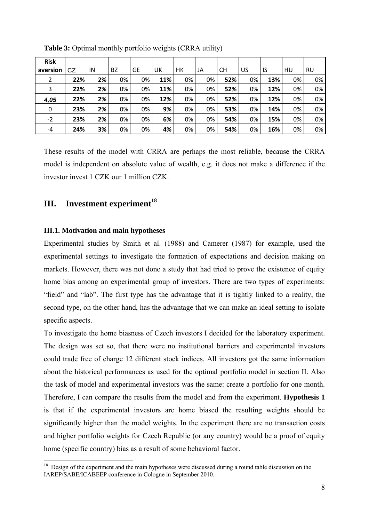| <b>Risk</b>    |     |    |    |    |     |    |    |     |    |     |    |    |
|----------------|-----|----|----|----|-----|----|----|-----|----|-----|----|----|
| aversion       | CZ  | IN | BZ | GE | UK  | HК | JA | СH  | US | IS  | HU | RU |
| $\overline{2}$ | 22% | 2% | 0% | 0% | 11% | 0% | 0% | 52% | 0% | 13% | 0% | 0% |
| 3              | 22% | 2% | 0% | 0% | 11% | 0% | 0% | 52% | 0% | 12% | 0% | 0% |
| 4,05           | 22% | 2% | 0% | 0% | 12% | 0% | 0% | 52% | 0% | 12% | 0% | 0% |
| 0              | 23% | 2% | 0% | 0% | 9%  | 0% | 0% | 53% | 0% | 14% | 0% | 0% |
| $-2$           | 23% | 2% | 0% | 0% | 6%  | 0% | 0% | 54% | 0% | 15% | 0% | 0% |
| -4             | 24% | 3% | 0% | 0% | 4%  | 0% | 0% | 54% | 0% | 16% | 0% | 0% |

**Table 3:** Optimal monthly portfolio weights (CRRA utility)

These results of the model with CRRA are perhaps the most reliable, because the CRRA model is independent on absolute value of wealth, e.g. it does not make a difference if the investor invest 1 CZK our 1 million CZK.

## **III. Investment experiment<sup>18</sup>**

#### **III.1. Motivation and main hypotheses**

<u>.</u>

Experimental studies by Smith et al. (1988) and Camerer (1987) for example, used the experimental settings to investigate the formation of expectations and decision making on markets. However, there was not done a study that had tried to prove the existence of equity home bias among an experimental group of investors. There are two types of experiments: "field" and "lab". The first type has the advantage that it is tightly linked to a reality, the second type, on the other hand, has the advantage that we can make an ideal setting to isolate specific aspects.

To investigate the home biasness of Czech investors I decided for the laboratory experiment. The design was set so, that there were no institutional barriers and experimental investors could trade free of charge 12 different stock indices. All investors got the same information about the historical performances as used for the optimal portfolio model in section II. Also the task of model and experimental investors was the same: create a portfolio for one month. Therefore, I can compare the results from the model and from the experiment. **Hypothesis 1** is that if the experimental investors are home biased the resulting weights should be significantly higher than the model weights. In the experiment there are no transaction costs and higher portfolio weights for Czech Republic (or any country) would be a proof of equity home (specific country) bias as a result of some behavioral factor.

<sup>&</sup>lt;sup>18</sup> Design of the experiment and the main hypotheses were discussed during a round table discussion on the IAREP/SABE/ICABEEP conference in Cologne in September 2010.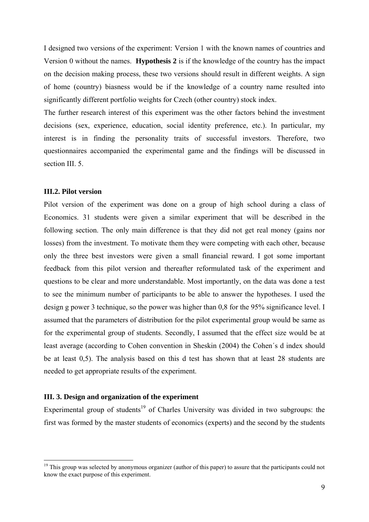I designed two versions of the experiment: Version 1 with the known names of countries and Version 0 without the names. **Hypothesis 2** is if the knowledge of the country has the impact on the decision making process, these two versions should result in different weights. A sign of home (country) biasness would be if the knowledge of a country name resulted into significantly different portfolio weights for Czech (other country) stock index.

The further research interest of this experiment was the other factors behind the investment decisions (sex, experience, education, social identity preference, etc.). In particular, my interest is in finding the personality traits of successful investors. Therefore, two questionnaires accompanied the experimental game and the findings will be discussed in section III. 5.

#### **III.2. Pilot version**

<u>.</u>

Pilot version of the experiment was done on a group of high school during a class of Economics. 31 students were given a similar experiment that will be described in the following section. The only main difference is that they did not get real money (gains nor losses) from the investment. To motivate them they were competing with each other, because only the three best investors were given a small financial reward. I got some important feedback from this pilot version and thereafter reformulated task of the experiment and questions to be clear and more understandable. Most importantly, on the data was done a test to see the minimum number of participants to be able to answer the hypotheses. I used the design g power 3 technique, so the power was higher than 0,8 for the 95% significance level. I assumed that the parameters of distribution for the pilot experimental group would be same as for the experimental group of students. Secondly, I assumed that the effect size would be at least average (according to Cohen convention in Sheskin (2004) the Cohen´s d index should be at least 0,5). The analysis based on this d test has shown that at least 28 students are needed to get appropriate results of the experiment.

#### **III. 3. Design and organization of the experiment**

Experimental group of students<sup>19</sup> of Charles University was divided in two subgroups: the first was formed by the master students of economics (experts) and the second by the students

<sup>&</sup>lt;sup>19</sup> This group was selected by anonymous organizer (author of this paper) to assure that the participants could not know the exact purpose of this experiment.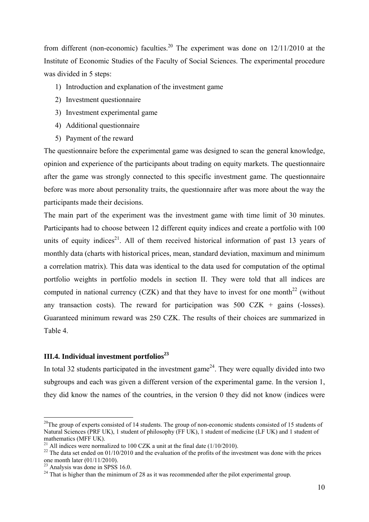from different (non-economic) faculties.<sup>20</sup> The experiment was done on  $12/11/2010$  at the Institute of Economic Studies of the Faculty of Social Sciences. The experimental procedure was divided in 5 steps:

- 1) Introduction and explanation of the investment game
- 2) Investment questionnaire
- 3) Investment experimental game
- 4) Additional questionnaire
- 5) Payment of the reward

The questionnaire before the experimental game was designed to scan the general knowledge, opinion and experience of the participants about trading on equity markets. The questionnaire after the game was strongly connected to this specific investment game. The questionnaire before was more about personality traits, the questionnaire after was more about the way the participants made their decisions.

The main part of the experiment was the investment game with time limit of 30 minutes. Participants had to choose between 12 different equity indices and create a portfolio with 100 units of equity indices<sup>21</sup>. All of them received historical information of past 13 years of monthly data (charts with historical prices, mean, standard deviation, maximum and minimum a correlation matrix). This data was identical to the data used for computation of the optimal portfolio weights in portfolio models in section II. They were told that all indices are computed in national currency (CZK) and that they have to invest for one month<sup>22</sup> (without any transaction costs). The reward for participation was  $500$  CZK + gains (-losses). Guaranteed minimum reward was 250 CZK. The results of their choices are summarized in Table 4.

#### **III.4. Individual investment portfolios**<sup>23</sup>

In total 32 students participated in the investment game<sup> $24$ </sup>. They were equally divided into two subgroups and each was given a different version of the experimental game. In the version 1, they did know the names of the countries, in the version 0 they did not know (indices were

<sup>&</sup>lt;sup>20</sup>The group of experts consisted of 14 students. The group of non-economic students consisted of 15 students of Natural Sciences (PRF UK), 1 student of philosophy (FF UK), 1 student of medicine (LF UK) and 1 student of mathematics (MFF UK).

<sup>&</sup>lt;sup>21</sup> All indices were normalized to 100 CZK a unit at the final date ( $1/10/2010$ ).

 $^{22}$  The data set ended on 01/10/2010 and the evaluation of the profits of the investment was done with the prices one month later (01/11/2010).

 $23$  Analysis was done in SPSS 16.0.

 $24$  That is higher than the minimum of 28 as it was recommended after the pilot experimental group.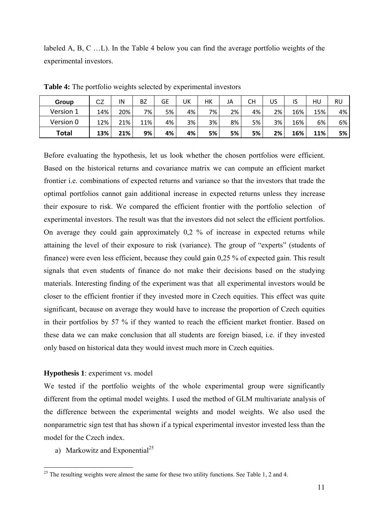labeled A, B, C …L). In the Table 4 below you can find the average portfolio weights of the experimental investors.

| Group        | CZ  | IN  | BZ  | GE | UK | нк | JA | CН | US | IS  | HU  | RU |
|--------------|-----|-----|-----|----|----|----|----|----|----|-----|-----|----|
| Version 1    | 14% | 20% | 7%  | 5% | 4% | 7% | 2% | 4% | 2% | 16% | 15% | 4% |
| Version 0    | 12% | 21% | 11% | 4% | 3% | 3% | 8% | 5% | 3% | 16% | 6%  | 6% |
| <b>Total</b> | 13% | 21% | 9%  | 4% | 4% | 5% | 5% | 5% | 2% | 16% | 11% | 5% |

**Table 4:** The portfolio weights selected by experimental investors

Before evaluating the hypothesis, let us look whether the chosen portfolios were efficient. Based on the historical returns and covariance matrix we can compute an efficient market frontier i.e. combinations of expected returns and variance so that the investors that trade the optimal portfolios cannot gain additional increase in expected returns unless they increase their exposure to risk. We compared the efficient frontier with the portfolio selection of experimental investors. The result was that the investors did not select the efficient portfolios. On average they could gain approximately 0,2 % of increase in expected returns while attaining the level of their exposure to risk (variance). The group of "experts" (students of finance) were even less efficient, because they could gain 0,25 % of expected gain. This result signals that even students of finance do not make their decisions based on the studying materials. Interesting finding of the experiment was that all experimental investors would be closer to the efficient frontier if they invested more in Czech equities. This effect was quite significant, because on average they would have to increase the proportion of Czech equities in their portfolios by 57 % if they wanted to reach the efficient market frontier. Based on these data we can make conclusion that all students are foreign biased, i.e. if they invested only based on historical data they would invest much more in Czech equities.

#### **Hypothesis 1**: experiment vs. model

We tested if the portfolio weights of the whole experimental group were significantly different from the optimal model weights. I used the method of GLM multivariate analysis of the difference between the experimental weights and model weights. We also used the nonparametric sign test that has shown if a typical experimental investor invested less than the model for the Czech index.

a) Markowitz and Exponential<sup>25</sup>

1

<sup>&</sup>lt;sup>25</sup> The resulting weights were almost the same for these two utility functions. See Table 1, 2 and 4.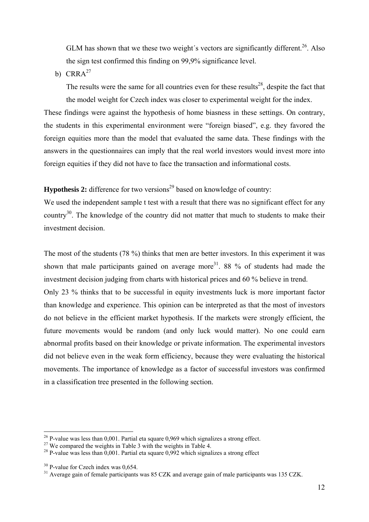GLM has shown that we these two weight's vectors are significantly different.<sup>26</sup>. Also the sign test confirmed this finding on 99,9% significance level.

b)  $CRRA<sup>27</sup>$ 

The results were the same for all countries even for these results<sup>28</sup>, despite the fact that the model weight for Czech index was closer to experimental weight for the index.

These findings were against the hypothesis of home biasness in these settings. On contrary, the students in this experimental environment were "foreign biased", e.g. they favored the foreign equities more than the model that evaluated the same data. These findings with the answers in the questionnaires can imply that the real world investors would invest more into foreign equities if they did not have to face the transaction and informational costs.

**Hypothesis 2:** difference for two versions<sup>29</sup> based on knowledge of country:

We used the independent sample t test with a result that there was no significant effect for any country<sup>30</sup>. The knowledge of the country did not matter that much to students to make their investment decision.

The most of the students (78 %) thinks that men are better investors. In this experiment it was shown that male participants gained on average more<sup>31</sup>. 88 % of students had made the investment decision judging from charts with historical prices and 60 % believe in trend.

Only 23 % thinks that to be successful in equity investments luck is more important factor than knowledge and experience. This opinion can be interpreted as that the most of investors do not believe in the efficient market hypothesis. If the markets were strongly efficient, the future movements would be random (and only luck would matter). No one could earn abnormal profits based on their knowledge or private information. The experimental investors did not believe even in the weak form efficiency, because they were evaluating the historical movements. The importance of knowledge as a factor of successful investors was confirmed in a classification tree presented in the following section.

1

<sup>&</sup>lt;sup>26</sup> P-value was less than 0,001. Partial eta square 0,969 which signalizes a strong effect.<sup>27</sup> We compared the weights in Table 3 with the weights in Table 4.

<sup>&</sup>lt;sup>28</sup> P-value was less than 0,001. Partial eta square 0,992 which signalizes a strong effect

 $30$  P-value for Czech index was 0,654.<br><sup>31</sup> Average gain of female participants was 85 CZK and average gain of male participants was 135 CZK.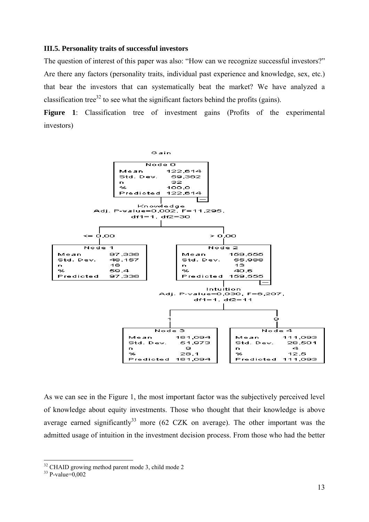#### **III.5. Personality traits of successful investors**

The question of interest of this paper was also: "How can we recognize successful investors?" Are there any factors (personality traits, individual past experience and knowledge, sex, etc.) that bear the investors that can systematically beat the market? We have analyzed a classification tree<sup>32</sup> to see what the significant factors behind the profits (gains).

Figure 1: Classification tree of investment gains (Profits of the experimental investors)



As we can see in the Figure 1, the most important factor was the subjectively perceived level of knowledge about equity investments. Those who thought that their knowledge is above average earned significantly<sup>33</sup> more (62 CZK on average). The other important was the admitted usage of intuition in the investment decision process. From those who had the better

<sup>&</sup>lt;sup>32</sup> CHAID growing method parent mode 3, child mode 2

 $33$  P-value=0,002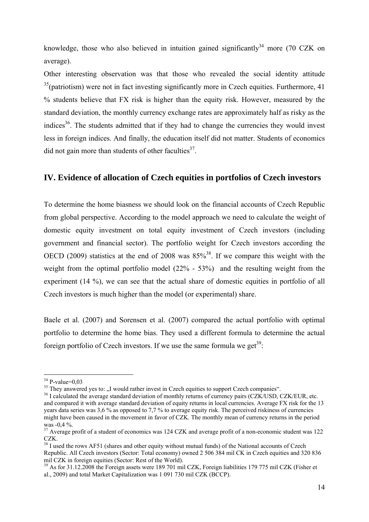knowledge, those who also believed in intuition gained significantly<sup>34</sup> more (70 CZK on average).

Other interesting observation was that those who revealed the social identity attitude  $35$ (patriotism) were not in fact investing significantly more in Czech equities. Furthermore, 41 % students believe that FX risk is higher than the equity risk. However, measured by the standard deviation, the monthly currency exchange rates are approximately half as risky as the indices<sup>36</sup>. The students admitted that if they had to change the currencies they would invest less in foreign indices. And finally, the education itself did not matter. Students of economics did not gain more than students of other faculties<sup>37</sup>.

#### **IV. Evidence of allocation of Czech equities in portfolios of Czech investors**

To determine the home biasness we should look on the financial accounts of Czech Republic from global perspective. According to the model approach we need to calculate the weight of domestic equity investment on total equity investment of Czech investors (including government and financial sector). The portfolio weight for Czech investors according the OECD (2009) statistics at the end of 2008 was  $85\%$ <sup>38</sup>. If we compare this weight with the weight from the optimal portfolio model (22% - 53%) and the resulting weight from the experiment (14 %), we can see that the actual share of domestic equities in portfolio of all Czech investors is much higher than the model (or experimental) share.

Baele et al. (2007) and Sorensen et al. (2007) compared the actual portfolio with optimal portfolio to determine the home bias. They used a different formula to determine the actual foreign portfolio of Czech investors. If we use the same formula we get<sup>39</sup>:

 $34$  P-value=0,03<br>35 They answered yes to: "I would rather invest in Czech equities to support Czech companies".

<sup>&</sup>lt;sup>36</sup> I calculated the average standard deviation of monthly returns of currency pairs (CZK/USD, CZK/EUR, etc. and compared it with average standard deviation of equity returns in local currencies. Average FX risk for the 13 years data series was 3,6 % as opposed to 7,7 % to average equity risk. The perceived riskiness of currencies might have been caused in the movement in favor of CZK. The monthly mean of currency returns in the period was  $-0.4 \%$ .

<sup>&</sup>lt;sup>37</sup> Average profit of a student of economics was 124 CZK and average profit of a non-economic student was 122 CZK.

<sup>&</sup>lt;sup>38</sup> I used the rows AF51 (shares and other equity without mutual funds) of the National accounts of Czech Republic. All Czech investors (Sector: Total economy) owned 2 506 384 mil CK in Czech equities and 320 836 mil CZK in foreign equities (Sector: Rest of the World).

<sup>39</sup> As for 31.12.2008 the Foreign assets were 189 701 mil CZK, Foreign liabilities 179 775 mil CZK (Fisher et al., 2009) and total Market Capitalization was 1 091 730 mil CZK (BCCP).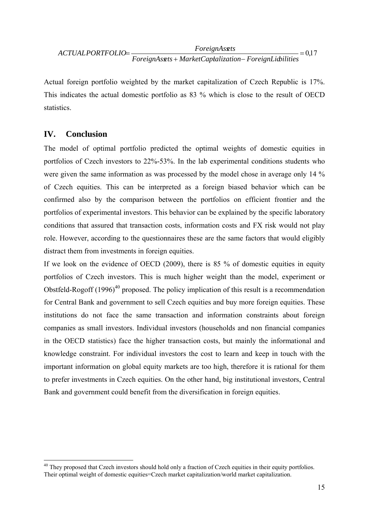## $=0.17$ *ForeignAssets MarketCapitalization ForeignLiabilities ForeignAssets ACTUALPORTFOLIO*

Actual foreign portfolio weighted by the market capitalization of Czech Republic is 17%. This indicates the actual domestic portfolio as 83 % which is close to the result of OECD statistics.

## **IV. Conclusion**

<u>.</u>

The model of optimal portfolio predicted the optimal weights of domestic equities in portfolios of Czech investors to 22%-53%. In the lab experimental conditions students who were given the same information as was processed by the model chose in average only 14 % of Czech equities. This can be interpreted as a foreign biased behavior which can be confirmed also by the comparison between the portfolios on efficient frontier and the portfolios of experimental investors. This behavior can be explained by the specific laboratory conditions that assured that transaction costs, information costs and FX risk would not play role. However, according to the questionnaires these are the same factors that would eligibly distract them from investments in foreign equities.

If we look on the evidence of OECD (2009), there is 85 % of domestic equities in equity portfolios of Czech investors. This is much higher weight than the model, experiment or Obstfeld-Rogoff  $(1996)^{40}$  proposed. The policy implication of this result is a recommendation for Central Bank and government to sell Czech equities and buy more foreign equities. These institutions do not face the same transaction and information constraints about foreign companies as small investors. Individual investors (households and non financial companies in the OECD statistics) face the higher transaction costs, but mainly the informational and knowledge constraint. For individual investors the cost to learn and keep in touch with the important information on global equity markets are too high, therefore it is rational for them to prefer investments in Czech equities. On the other hand, big institutional investors, Central Bank and government could benefit from the diversification in foreign equities.

<sup>&</sup>lt;sup>40</sup> They proposed that Czech investors should hold only a fraction of Czech equities in their equity portfolios. Their optimal weight of domestic equities=Czech market capitalization/world market capitalization.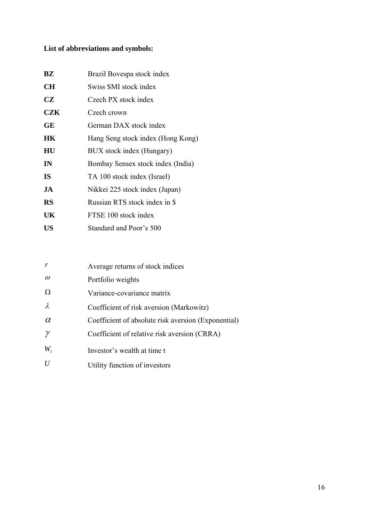## **List of abbreviations and symbols:**

| BZ         | Brazil Bovespa stock index        |
|------------|-----------------------------------|
| <b>CH</b>  | Swiss SMI stock index             |
| <b>CZ</b>  | Czech PX stock index              |
| <b>CZK</b> | Czech crown                       |
| <b>GE</b>  | German DAX stock index            |
| <b>HK</b>  | Hang Seng stock index (Hong Kong) |
| HU         | BUX stock index (Hungary)         |
| IN         | Bombay Sensex stock index (India) |
| <b>IS</b>  | TA 100 stock index (Israel)       |
| JA         | Nikkei 225 stock index (Japan)    |
| <b>RS</b>  | Russian RTS stock index in \$     |
| UK         | FTSE 100 stock index              |
| US         | Standard and Poor's 500           |

|           | Average returns of stock indices                    |
|-----------|-----------------------------------------------------|
| $\omega$  | Portfolio weights                                   |
| Ω         | Variance-covariance matrix                          |
| $\lambda$ | Coefficient of risk aversion (Markowitz)            |
| $\alpha$  | Coefficient of absolute risk aversion (Exponential) |
|           | Coefficient of relative risk aversion (CRRA)        |
| $W_{i}$   | Investor's wealth at time t                         |
|           | Utility function of investors                       |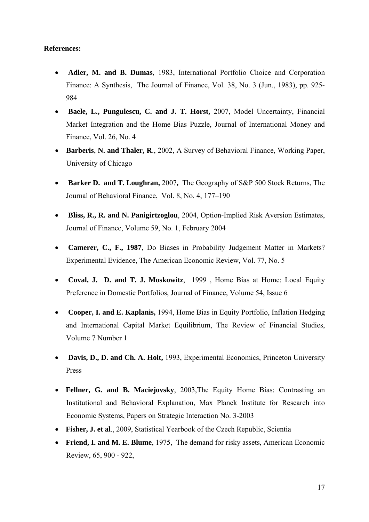#### **References:**

- **Adler, M. and B. Dumas**, 1983, International Portfolio Choice and Corporation Finance: A Synthesis, The Journal of Finance, Vol. 38, No. 3 (Jun., 1983), pp. 925- 984
- **Baele, L., Pungulescu, C. and J. T. Horst,** 2007, Model Uncertainty, Financial Market Integration and the Home Bias Puzzle, Journal of International Money and Finance, Vol. 26, No. 4
- **Barberis**, **N. and Thaler, R**., 2002, A Survey of Behavioral Finance, Working Paper, University of Chicago
- **Barker D. and T. Loughran,** 2007**,** The Geography of S&P 500 Stock Returns, The Journal of Behavioral Finance, Vol. 8, No. 4, 177–190
- **Bliss, R., R. and N. Panigirtzoglou**, 2004, Option-Implied Risk Aversion Estimates, Journal of Finance, Volume 59, No. 1, February 2004
- **Camerer, C., F., 1987**, Do Biases in Probability Judgement Matter in Markets? Experimental Evidence, The American Economic Review, Vol. 77, No. 5
- **Coval, J. D. and T. J. Moskowitz**, 1999 , Home Bias at Home: Local Equity Preference in Domestic Portfolios, Journal of Finance, Volume 54, Issue 6
- **Cooper, I. and E. Kaplanis,** 1994, Home Bias in Equity Portfolio, Inflation Hedging and International Capital Market Equilibrium, The Review of Financial Studies, Volume 7 Number 1
- **Davis, D., D. and Ch. A. Holt,** 1993, Experimental Economics, Princeton University Press
- **Fellner, G. and B. Maciejovsky**, 2003,The Equity Home Bias: Contrasting an Institutional and Behavioral Explanation, Max Planck Institute for Research into Economic Systems, Papers on Strategic Interaction No. 3-2003
- **Fisher, J. et al**., 2009, Statistical Yearbook of the Czech Republic, Scientia
- **Friend, I. and M. E. Blume**, 1975, The demand for risky assets, American Economic Review, 65, 900 - 922,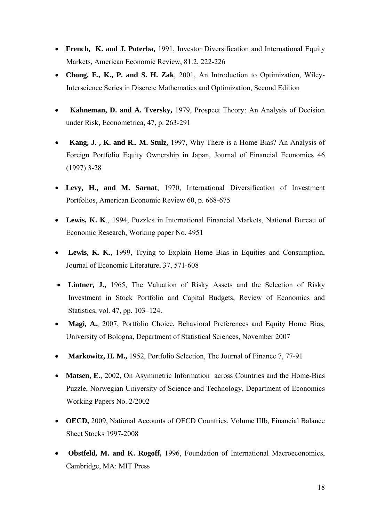- **French, K. and J. Poterba,** 1991, Investor Diversification and International Equity Markets, American Economic Review, 81.2, 222-226
- **Chong, E., K., P. and S. H. Zak**, 2001, An Introduction to Optimization, Wiley-Interscience Series in Discrete Mathematics and Optimization, Second Edition
- **Kahneman, D. and A. Tversky,** 1979, Prospect Theory: An Analysis of Decision under Risk, Econometrica, 47, p. 263-291
- **Kang, J. , K. and R.. M. Stulz,** 1997, Why There is a Home Bias? An Analysis of Foreign Portfolio Equity Ownership in Japan, Journal of Financial Economics 46 (1997) 3-28
- **Levy, H., and M. Sarnat**, 1970, International Diversification of Investment Portfolios, American Economic Review 60, p. 668-675
- **Lewis, K. K**., 1994, Puzzles in International Financial Markets, National Bureau of Economic Research, Working paper No. 4951
- **Lewis, K. K**., 1999, Trying to Explain Home Bias in Equities and Consumption, Journal of Economic Literature, 37, 571-608
- **Lintner, J.,** 1965, The Valuation of Risky Assets and the Selection of Risky Investment in Stock Portfolio and Capital Budgets, Review of Economics and Statistics, vol. 47, pp. 103–124.
- **Magi, A.**, 2007, Portfolio Choice, Behavioral Preferences and Equity Home Bias, University of Bologna, Department of Statistical Sciences, November 2007
- **Markowitz, H. M.,** 1952, Portfolio Selection, The Journal of Finance 7, 77-91
- **Matsen, E.**, 2002, On Asymmetric Information across Countries and the Home-Bias Puzzle, Norwegian University of Science and Technology, Department of Economics Working Papers No. 2/2002
- **OECD,** 2009, National Accounts of OECD Countries, Volume IIIb, Financial Balance Sheet Stocks 1997-2008
- **Obstfeld, M. and K. Rogoff,** 1996, Foundation of International Macroeconomics, Cambridge, MA: MIT Press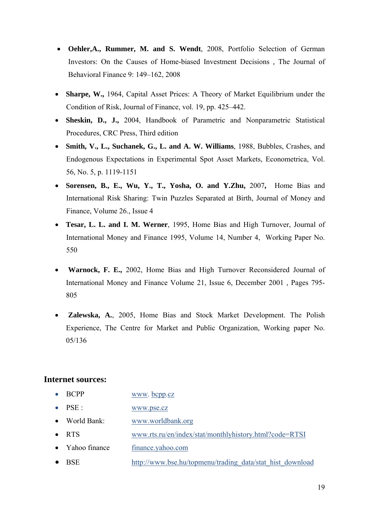- **Oehler,A., Rummer, M. and S. Wendt**, 2008, Portfolio Selection of German Investors: On the Causes of Home-biased Investment Decisions *,* The Journal of Behavioral Finance 9: 149–162, 2008
- **Sharpe, W.,** 1964, Capital Asset Prices: A Theory of Market Equilibrium under the Condition of Risk, Journal of Finance, vol. 19, pp. 425–442.
- **Sheskin, D., J.,** 2004, Handbook of Parametric and Nonparametric Statistical Procedures, CRC Press, Third edition
- **Smith, V., L., Suchanek, G., L. and A. W. Williams**, 1988, Bubbles, Crashes, and Endogenous Expectations in Experimental Spot Asset Markets, Econometrica, Vol. 56, No. 5, p. 1119-1151
- **Sorensen, B., E., Wu, Y., T., Yosha, O. and Y.Zhu,** 2007**,** Home Bias and International Risk Sharing: Twin Puzzles Separated at Birth, Journal of Money and Finance, Volume 26., Issue 4
- **Tesar, L. L. and I. M. Werner**, 1995, Home Bias and High Turnover, Journal of International Money and Finance 1995, Volume 14, Number 4, Working Paper No. 550
- **Warnock, F. E.,** 2002, Home Bias and High Turnover Reconsidered Journal of International Money and Finance Volume 21, Issue 6, December 2001 , Pages 795- 805
- **Zalewska, A.**, 2005, Home Bias and Stock Market Development. The Polish Experience, The Centre for Market and Public Organization, Working paper No. 05/136

## **Internet sources:**

- BCPP www.bcpp.cz
- PSE : www.pse.cz
- World Bank: www.worldbank.org
- RTS www.rts.ru/en/index/stat/monthlyhistory.html?code=RTSI
- Yahoo finance finance.yahoo.com
- BSE http://www.bse.hu/topmenu/trading\_data/stat\_hist\_download